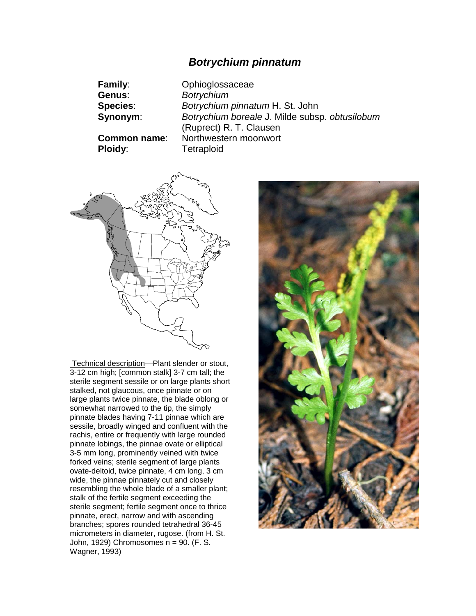# *Botrychium pinnatum*

| <b>Family:</b>                 | Ophioglossaceae                                                           |
|--------------------------------|---------------------------------------------------------------------------|
| Genus:                         | <b>Botrychium</b>                                                         |
| <b>Species:</b>                | Botrychium pinnatum H. St. John                                           |
| Synonym:                       | Botrychium boreale J. Milde subsp. obtusilobum<br>(Ruprect) R. T. Clausen |
| <b>Common name:</b><br>Ploidy: | Northwestern moonwort<br>Tetraploid                                       |



Technical description—Plant slender or stout, 3-12 cm high; [common stalk] 3-7 cm tall; the sterile segment sessile or on large plants short stalked, not glaucous, once pinnate or on large plants twice pinnate, the blade oblong or somewhat narrowed to the tip, the simply pinnate blades having 7-11 pinnae which are sessile, broadly winged and confluent with the rachis, entire or frequently with large rounded pinnate lobings, the pinnae ovate or elliptical 3-5 mm long, prominently veined with twice forked veins; sterile segment of large plants ovate-deltoid, twice pinnate, 4 cm long, 3 cm wide, the pinnae pinnately cut and closely resembling the whole blade of a smaller plant; stalk of the fertile segment exceeding the sterile segment; fertile segment once to thrice pinnate, erect, narrow and with ascending branches; spores rounded tetrahedral 36-45 micrometers in diameter, rugose. (from H. St. John, 1929) Chromosomes n = 90. (F. S. Wagner, 1993)

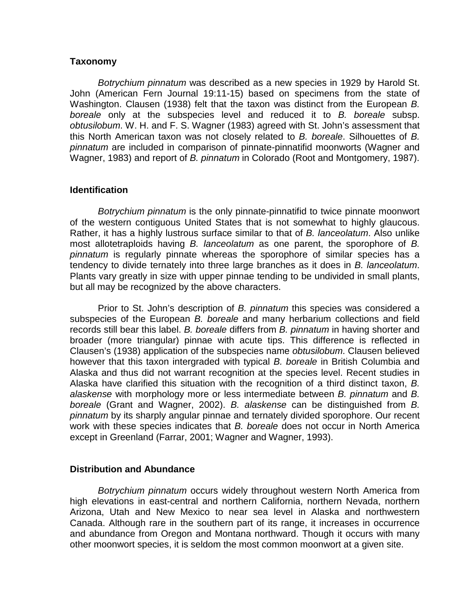### **Taxonomy**

*Botrychium pinnatum* was described as a new species in 1929 by Harold St. John (American Fern Journal 19:11-15) based on specimens from the state of Washington. Clausen (1938) felt that the taxon was distinct from the European *B. boreale* only at the subspecies level and reduced it to *B. boreale* subsp. *obtusilobum*. W. H. and F. S. Wagner (1983) agreed with St. John's assessment that this North American taxon was not closely related to *B. boreale*. Silhouettes of *B. pinnatum* are included in comparison of pinnate-pinnatifid moonworts (Wagner and Wagner, 1983) and report of *B. pinnatum* in Colorado (Root and Montgomery, 1987).

## **Identification**

*Botrychium pinnatum* is the only pinnate-pinnatifid to twice pinnate moonwort of the western contiguous United States that is not somewhat to highly glaucous. Rather, it has a highly lustrous surface similar to that of *B. lanceolatum*. Also unlike most allotetraploids having *B. lanceolatum* as one parent, the sporophore of *B. pinnatum* is regularly pinnate whereas the sporophore of similar species has a tendency to divide ternately into three large branches as it does in *B. lanceolatum*. Plants vary greatly in size with upper pinnae tending to be undivided in small plants, but all may be recognized by the above characters.

Prior to St. John's description of *B. pinnatum* this species was considered a subspecies of the European *B. boreale* and many herbarium collections and field records still bear this label. *B. boreale* differs from *B. pinnatum* in having shorter and broader (more triangular) pinnae with acute tips. This difference is reflected in Clausen's (1938) application of the subspecies name *obtusilobum*. Clausen believed however that this taxon intergraded with typical *B. boreale* in British Columbia and Alaska and thus did not warrant recognition at the species level. Recent studies in Alaska have clarified this situation with the recognition of a third distinct taxon, *B. alaskense* with morphology more or less intermediate between *B. pinnatum* and *B. boreale* (Grant and Wagner, 2002). *B. alaskense* can be distinguished from *B. pinnatum* by its sharply angular pinnae and ternately divided sporophore. Our recent work with these species indicates that *B. boreale* does not occur in North America except in Greenland (Farrar, 2001; Wagner and Wagner, 1993).

#### **Distribution and Abundance**

*Botrychium pinnatum* occurs widely throughout western North America from high elevations in east-central and northern California, northern Nevada, northern Arizona, Utah and New Mexico to near sea level in Alaska and northwestern Canada. Although rare in the southern part of its range, it increases in occurrence and abundance from Oregon and Montana northward. Though it occurs with many other moonwort species, it is seldom the most common moonwort at a given site.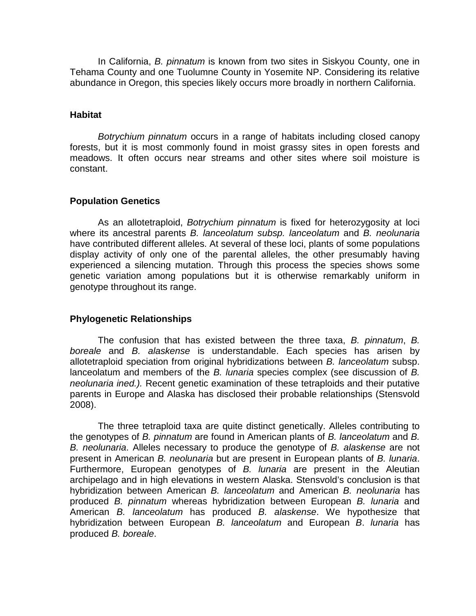In California, *B. pinnatum* is known from two sites in Siskyou County, one in Tehama County and one Tuolumne County in Yosemite NP. Considering its relative abundance in Oregon, this species likely occurs more broadly in northern California.

## **Habitat**

*Botrychium pinnatum* occurs in a range of habitats including closed canopy forests, but it is most commonly found in moist grassy sites in open forests and meadows. It often occurs near streams and other sites where soil moisture is constant.

# **Population Genetics**

As an allotetraploid, *Botrychium pinnatum* is fixed for heterozygosity at loci where its ancestral parents *B. lanceolatum subsp. lanceolatum* and *B. neolunaria* have contributed different alleles. At several of these loci, plants of some populations display activity of only one of the parental alleles, the other presumably having experienced a silencing mutation. Through this process the species shows some genetic variation among populations but it is otherwise remarkably uniform in genotype throughout its range.

# **Phylogenetic Relationships**

The confusion that has existed between the three taxa, *B. pinnatum*, *B. boreale* and *B. alaskense* is understandable. Each species has arisen by allotetraploid speciation from original hybridizations between *B. lanceolatum* subsp. lanceolatum and members of the *B. lunaria* species complex (see discussion of *B. neolunaria ined.).* Recent genetic examination of these tetraploids and their putative parents in Europe and Alaska has disclosed their probable relationships (Stensvold 2008).

The three tetraploid taxa are quite distinct genetically. Alleles contributing to the genotypes of *B. pinnatum* are found in American plants of *B. lanceolatum* and *B. B. neolunaria*. Alleles necessary to produce the genotype of *B. alaskense* are not present in American *B. neolunaria* but are present in European plants of *B. lunaria*. Furthermore, European genotypes of *B. lunaria* are present in the Aleutian archipelago and in high elevations in western Alaska. Stensvold's conclusion is that hybridization between American *B. lanceolatum* and American *B. neolunaria* has produced *B. pinnatum* whereas hybridization between European *B. lunaria* and American *B. lanceolatum* has produced *B. alaskense*. We hypothesize that hybridization between European *B. lanceolatum* and European *B*. *lunaria* has produced *B. boreale*.